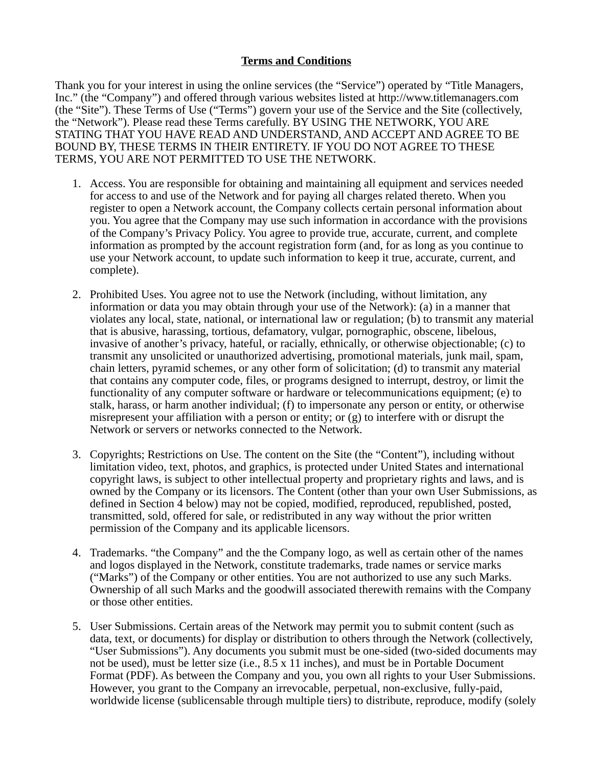## **Terms and Conditions**

Thank you for your interest in using the online services (the "Service") operated by "Title Managers, Inc." (the "Company") and offered through various websites listed at http://www.titlemanagers.com (the "Site"). These Terms of Use ("Terms") govern your use of the Service and the Site (collectively, the "Network"). Please read these Terms carefully. BY USING THE NETWORK, YOU ARE STATING THAT YOU HAVE READ AND UNDERSTAND, AND ACCEPT AND AGREE TO BE BOUND BY, THESE TERMS IN THEIR ENTIRETY. IF YOU DO NOT AGREE TO THESE TERMS, YOU ARE NOT PERMITTED TO USE THE NETWORK.

- 1. Access. You are responsible for obtaining and maintaining all equipment and services needed for access to and use of the Network and for paying all charges related thereto. When you register to open a Network account, the Company collects certain personal information about you. You agree that the Company may use such information in accordance with the provisions of the Company's Privacy Policy. You agree to provide true, accurate, current, and complete information as prompted by the account registration form (and, for as long as you continue to use your Network account, to update such information to keep it true, accurate, current, and complete).
- 2. Prohibited Uses. You agree not to use the Network (including, without limitation, any information or data you may obtain through your use of the Network): (a) in a manner that violates any local, state, national, or international law or regulation; (b) to transmit any material that is abusive, harassing, tortious, defamatory, vulgar, pornographic, obscene, libelous, invasive of another's privacy, hateful, or racially, ethnically, or otherwise objectionable; (c) to transmit any unsolicited or unauthorized advertising, promotional materials, junk mail, spam, chain letters, pyramid schemes, or any other form of solicitation; (d) to transmit any material that contains any computer code, files, or programs designed to interrupt, destroy, or limit the functionality of any computer software or hardware or telecommunications equipment; (e) to stalk, harass, or harm another individual; (f) to impersonate any person or entity, or otherwise misrepresent your affiliation with a person or entity; or  $(g)$  to interfere with or disrupt the Network or servers or networks connected to the Network.
- 3. Copyrights; Restrictions on Use. The content on the Site (the "Content"), including without limitation video, text, photos, and graphics, is protected under United States and international copyright laws, is subject to other intellectual property and proprietary rights and laws, and is owned by the Company or its licensors. The Content (other than your own User Submissions, as defined in Section 4 below) may not be copied, modified, reproduced, republished, posted, transmitted, sold, offered for sale, or redistributed in any way without the prior written permission of the Company and its applicable licensors.
- 4. Trademarks. "the Company" and the the Company logo, as well as certain other of the names and logos displayed in the Network, constitute trademarks, trade names or service marks ("Marks") of the Company or other entities. You are not authorized to use any such Marks. Ownership of all such Marks and the goodwill associated therewith remains with the Company or those other entities.
- 5. User Submissions. Certain areas of the Network may permit you to submit content (such as data, text, or documents) for display or distribution to others through the Network (collectively, "User Submissions"). Any documents you submit must be one-sided (two-sided documents may not be used), must be letter size (i.e., 8.5 x 11 inches), and must be in Portable Document Format (PDF). As between the Company and you, you own all rights to your User Submissions. However, you grant to the Company an irrevocable, perpetual, non-exclusive, fully-paid, worldwide license (sublicensable through multiple tiers) to distribute, reproduce, modify (solely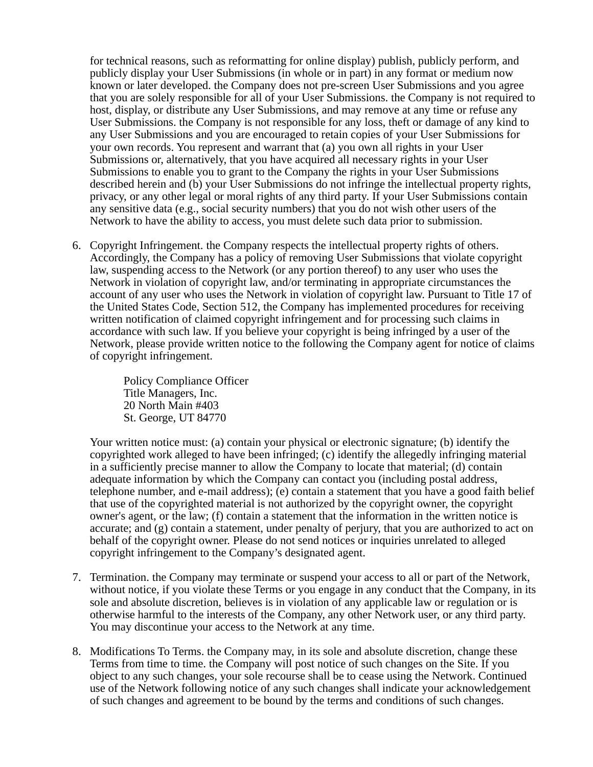for technical reasons, such as reformatting for online display) publish, publicly perform, and publicly display your User Submissions (in whole or in part) in any format or medium now known or later developed. the Company does not pre-screen User Submissions and you agree that you are solely responsible for all of your User Submissions. the Company is not required to host, display, or distribute any User Submissions, and may remove at any time or refuse any User Submissions. the Company is not responsible for any loss, theft or damage of any kind to any User Submissions and you are encouraged to retain copies of your User Submissions for your own records. You represent and warrant that (a) you own all rights in your User Submissions or, alternatively, that you have acquired all necessary rights in your User Submissions to enable you to grant to the Company the rights in your User Submissions described herein and (b) your User Submissions do not infringe the intellectual property rights, privacy, or any other legal or moral rights of any third party. If your User Submissions contain any sensitive data (e.g., social security numbers) that you do not wish other users of the Network to have the ability to access, you must delete such data prior to submission.

6. Copyright Infringement. the Company respects the intellectual property rights of others. Accordingly, the Company has a policy of removing User Submissions that violate copyright law, suspending access to the Network (or any portion thereof) to any user who uses the Network in violation of copyright law, and/or terminating in appropriate circumstances the account of any user who uses the Network in violation of copyright law. Pursuant to Title 17 of the United States Code, Section 512, the Company has implemented procedures for receiving written notification of claimed copyright infringement and for processing such claims in accordance with such law. If you believe your copyright is being infringed by a user of the Network, please provide written notice to the following the Company agent for notice of claims of copyright infringement.

> Policy Compliance Officer Title Managers, Inc. 20 North Main #403 St. George, UT 84770

Your written notice must: (a) contain your physical or electronic signature; (b) identify the copyrighted work alleged to have been infringed; (c) identify the allegedly infringing material in a sufficiently precise manner to allow the Company to locate that material; (d) contain adequate information by which the Company can contact you (including postal address, telephone number, and e-mail address); (e) contain a statement that you have a good faith belief that use of the copyrighted material is not authorized by the copyright owner, the copyright owner's agent, or the law; (f) contain a statement that the information in the written notice is accurate; and (g) contain a statement, under penalty of perjury, that you are authorized to act on behalf of the copyright owner. Please do not send notices or inquiries unrelated to alleged copyright infringement to the Company's designated agent.

- 7. Termination. the Company may terminate or suspend your access to all or part of the Network, without notice, if you violate these Terms or you engage in any conduct that the Company, in its sole and absolute discretion, believes is in violation of any applicable law or regulation or is otherwise harmful to the interests of the Company, any other Network user, or any third party. You may discontinue your access to the Network at any time.
- 8. Modifications To Terms. the Company may, in its sole and absolute discretion, change these Terms from time to time. the Company will post notice of such changes on the Site. If you object to any such changes, your sole recourse shall be to cease using the Network. Continued use of the Network following notice of any such changes shall indicate your acknowledgement of such changes and agreement to be bound by the terms and conditions of such changes.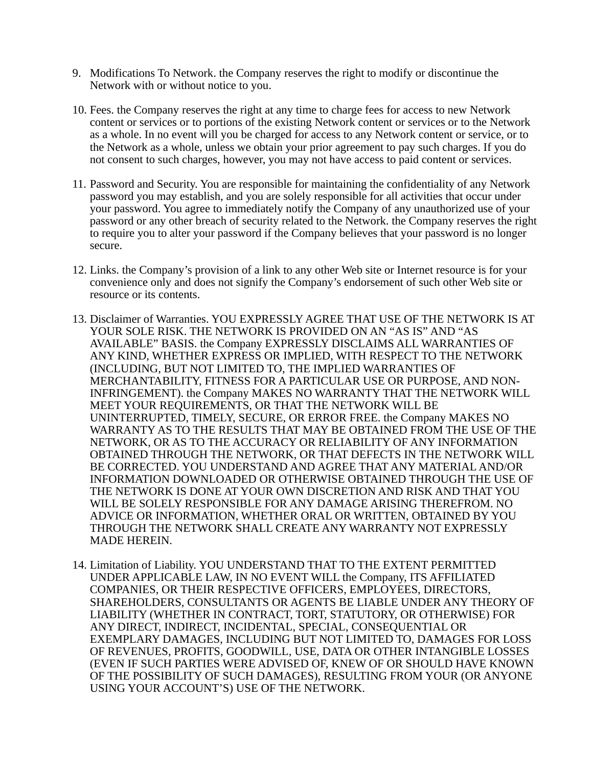- 9. Modifications To Network. the Company reserves the right to modify or discontinue the Network with or without notice to you.
- 10. Fees. the Company reserves the right at any time to charge fees for access to new Network content or services or to portions of the existing Network content or services or to the Network as a whole. In no event will you be charged for access to any Network content or service, or to the Network as a whole, unless we obtain your prior agreement to pay such charges. If you do not consent to such charges, however, you may not have access to paid content or services.
- 11. Password and Security. You are responsible for maintaining the confidentiality of any Network password you may establish, and you are solely responsible for all activities that occur under your password. You agree to immediately notify the Company of any unauthorized use of your password or any other breach of security related to the Network. the Company reserves the right to require you to alter your password if the Company believes that your password is no longer secure.
- 12. Links. the Company's provision of a link to any other Web site or Internet resource is for your convenience only and does not signify the Company's endorsement of such other Web site or resource or its contents.
- 13. Disclaimer of Warranties. YOU EXPRESSLY AGREE THAT USE OF THE NETWORK IS AT YOUR SOLE RISK. THE NETWORK IS PROVIDED ON AN "AS IS" AND "AS AVAILABLE" BASIS. the Company EXPRESSLY DISCLAIMS ALL WARRANTIES OF ANY KIND, WHETHER EXPRESS OR IMPLIED, WITH RESPECT TO THE NETWORK (INCLUDING, BUT NOT LIMITED TO, THE IMPLIED WARRANTIES OF MERCHANTABILITY, FITNESS FOR A PARTICULAR USE OR PURPOSE, AND NON-INFRINGEMENT). the Company MAKES NO WARRANTY THAT THE NETWORK WILL MEET YOUR REQUIREMENTS, OR THAT THE NETWORK WILL BE UNINTERRUPTED, TIMELY, SECURE, OR ERROR FREE. the Company MAKES NO WARRANTY AS TO THE RESULTS THAT MAY BE OBTAINED FROM THE USE OF THE NETWORK, OR AS TO THE ACCURACY OR RELIABILITY OF ANY INFORMATION OBTAINED THROUGH THE NETWORK, OR THAT DEFECTS IN THE NETWORK WILL BE CORRECTED. YOU UNDERSTAND AND AGREE THAT ANY MATERIAL AND/OR INFORMATION DOWNLOADED OR OTHERWISE OBTAINED THROUGH THE USE OF THE NETWORK IS DONE AT YOUR OWN DISCRETION AND RISK AND THAT YOU WILL BE SOLELY RESPONSIBLE FOR ANY DAMAGE ARISING THEREFROM. NO ADVICE OR INFORMATION, WHETHER ORAL OR WRITTEN, OBTAINED BY YOU THROUGH THE NETWORK SHALL CREATE ANY WARRANTY NOT EXPRESSLY MADE HEREIN.
- 14. Limitation of Liability. YOU UNDERSTAND THAT TO THE EXTENT PERMITTED UNDER APPLICABLE LAW, IN NO EVENT WILL the Company, ITS AFFILIATED COMPANIES, OR THEIR RESPECTIVE OFFICERS, EMPLOYEES, DIRECTORS, SHAREHOLDERS, CONSULTANTS OR AGENTS BE LIABLE UNDER ANY THEORY OF LIABILITY (WHETHER IN CONTRACT, TORT, STATUTORY, OR OTHERWISE) FOR ANY DIRECT, INDIRECT, INCIDENTAL, SPECIAL, CONSEQUENTIAL OR EXEMPLARY DAMAGES, INCLUDING BUT NOT LIMITED TO, DAMAGES FOR LOSS OF REVENUES, PROFITS, GOODWILL, USE, DATA OR OTHER INTANGIBLE LOSSES (EVEN IF SUCH PARTIES WERE ADVISED OF, KNEW OF OR SHOULD HAVE KNOWN OF THE POSSIBILITY OF SUCH DAMAGES), RESULTING FROM YOUR (OR ANYONE USING YOUR ACCOUNT'S) USE OF THE NETWORK.